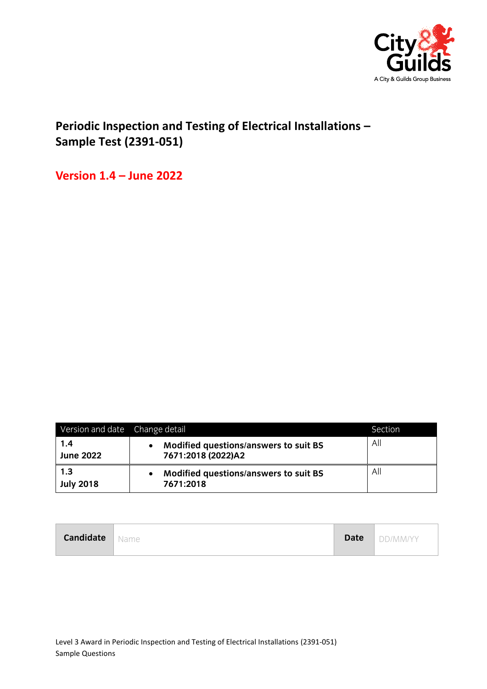

## **Periodic Inspection and Testing of Electrical Installations – Sample Test (2391-051)**

**Version 1.4 – June 2022**

| Version and date Change detail |                                                             | Section |
|--------------------------------|-------------------------------------------------------------|---------|
| 1.4<br><b>June 2022</b>        | Modified questions/answers to suit BS<br>7671:2018 (2022)A2 | All     |
| 1.3<br><b>July 2018</b>        | Modified questions/answers to suit BS<br>7671:2018          | All     |

| <b>Candidate</b> Name |  |  | Date DD/MM/YY |
|-----------------------|--|--|---------------|
|-----------------------|--|--|---------------|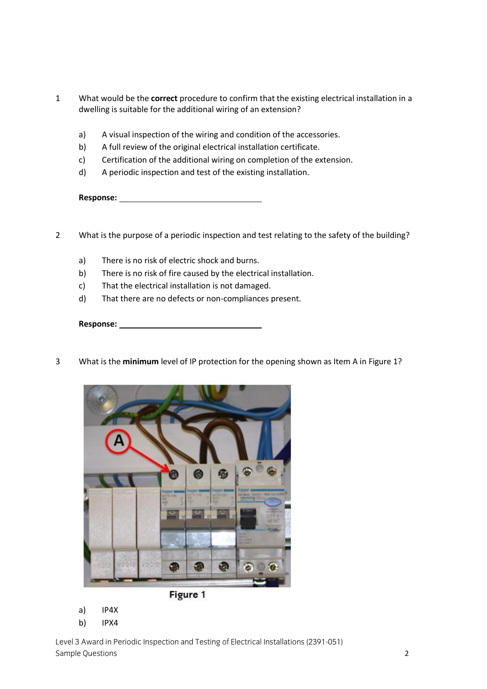- 1 What would be the **correct** procedure to confirm that the existing electrical installation in a dwelling is suitable for the additional wiring of an extension?
	- a) A visual inspection of the wiring and condition of the accessories.
	- b) A full review of the original electrical installation certificate.
	- c) Certification of the additional wiring on completion of the extension.
	- d) A periodic inspection and test of the existing installation.

- 2 What is the purpose of a periodic inspection and test relating to the safety of the building?
	- a) There is no risk of electric shock and burns.
	- b) There is no risk of fire caused by the electrical installation.
	- c) That the electrical installation is not damaged.
	- d) That there are no defects or non-compliances present.

**Response:** 

3 What is the **minimum** level of IP protection for the opening shown as Item A in Figure 1?



a) IP4X

b) IPX4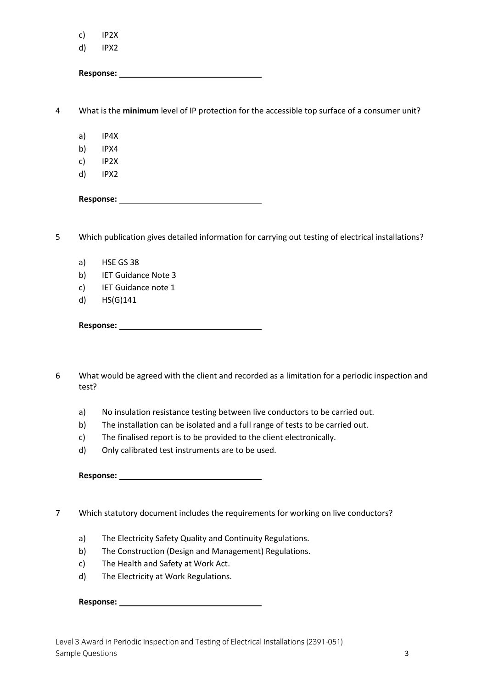|   | c)    | IP <sub>2</sub> X                                                                                                                                                                                                              |
|---|-------|--------------------------------------------------------------------------------------------------------------------------------------------------------------------------------------------------------------------------------|
|   | d)    | IPX2                                                                                                                                                                                                                           |
|   |       |                                                                                                                                                                                                                                |
| 4 |       | What is the minimum level of IP protection for the accessible top surface of a consumer unit?                                                                                                                                  |
|   | a)    | IP4X                                                                                                                                                                                                                           |
|   | b)    | IPX4                                                                                                                                                                                                                           |
|   | c)    | IP2X                                                                                                                                                                                                                           |
|   | d)    | IPX2                                                                                                                                                                                                                           |
|   |       |                                                                                                                                                                                                                                |
| 5 |       | Which publication gives detailed information for carrying out testing of electrical installations?                                                                                                                             |
|   | a)    | HSE GS 38                                                                                                                                                                                                                      |
|   | b)    | <b>IET Guidance Note 3</b>                                                                                                                                                                                                     |
|   | c)    | IET Guidance note 1                                                                                                                                                                                                            |
|   | d)    | $HS(G)$ 141                                                                                                                                                                                                                    |
|   |       | Response: Note and the second service of the service of the service of the service of the service of the series of the service of the service of the series of the series of the series of the series of the series of the ser |
|   |       |                                                                                                                                                                                                                                |
| 6 | test? | What would be agreed with the client and recorded as a limitation for a periodic inspection and                                                                                                                                |
|   | a)    | No insulation resistance testing between live conductors to be carried out.                                                                                                                                                    |
|   | b)    | The installation can be isolated and a full range of tests to be carried out.                                                                                                                                                  |
|   | c)    | The finalised report is to be provided to the client electronically.                                                                                                                                                           |
|   | d)    | Only calibrated test instruments are to be used.                                                                                                                                                                               |

7 Which statutory document includes the requirements for working on live conductors?

- a) The Electricity Safety Quality and Continuity Regulations.
- b) The Construction (Design and Management) Regulations.
- c) The Health and Safety at Work Act.
- d) The Electricity at Work Regulations.

**Response:**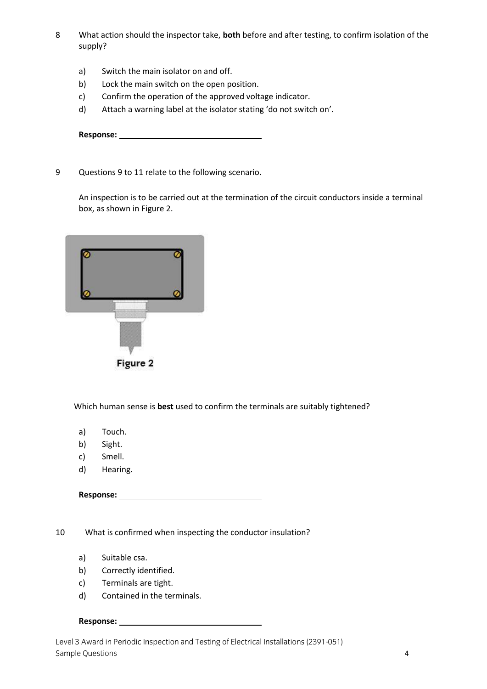- 8 What action should the inspector take, **both** before and after testing, to confirm isolation of the supply?
	- a) Switch the main isolator on and off.
	- b) Lock the main switch on the open position.
	- c) Confirm the operation of the approved voltage indicator.
	- d) Attach a warning label at the isolator stating 'do not switch on'.

9 Questions 9 to 11 relate to the following scenario.

An inspection is to be carried out at the termination of the circuit conductors inside a terminal box, as shown in Figure 2.

| ,,,,,,,,,,,,,,,,,,,,             |  |
|----------------------------------|--|
| <b>ALLEN ARRESTS EXPERIENCES</b> |  |
| Figure 2                         |  |

Which human sense is **best** used to confirm the terminals are suitably tightened?

- a) Touch.
- b) Sight.
- c) Smell.
- d) Hearing.

**Response:** 

10 What is confirmed when inspecting the conductor insulation?

- a) Suitable csa.
- b) Correctly identified.
- c) Terminals are tight.
- d) Contained in the terminals.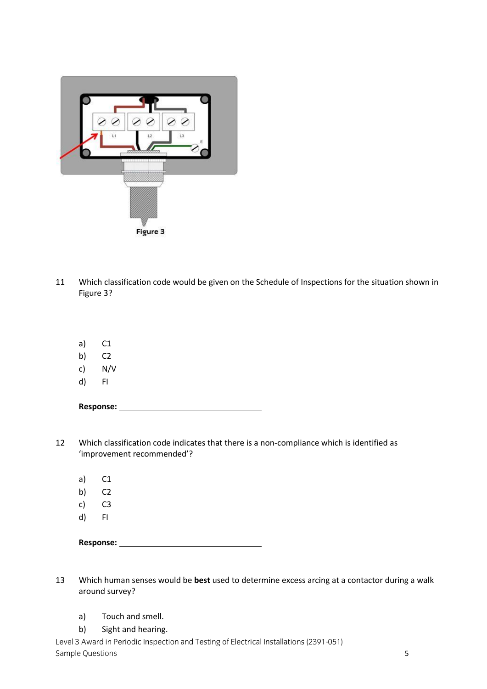

- 11 Which classification code would be given on the Schedule of Inspections for the situation shown in Figure 3?
	- a) C1
	- b) C2
	- c) N/V
	- d) FI

- 12 Which classification code indicates that there is a non-compliance which is identified as 'improvement recommended'?
	- a) C1
	- b) C2
	- c) C3
	- d) FI

- 13 Which human senses would be **best** used to determine excess arcing at a contactor during a walk around survey?
	- a) Touch and smell.
	- b) Sight and hearing.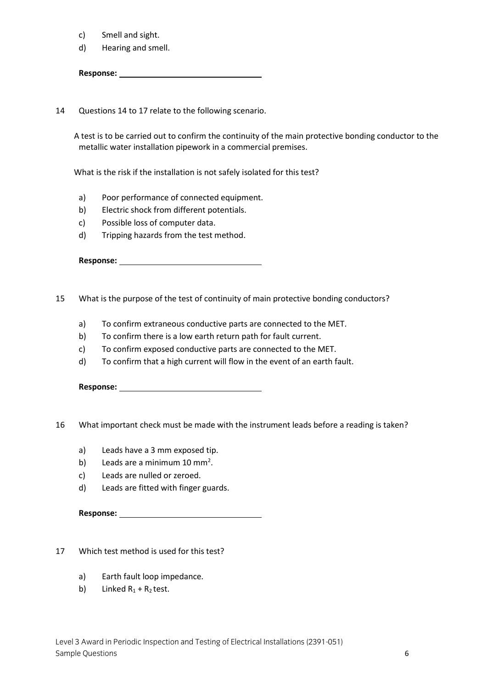- c) Smell and sight.
- d) Hearing and smell.

Response: <u>with a set of the set of the set of the set of the set of the set of the set of the set of the set of the set of the set of the set of the set of the set of the set of the set of the set of the set of the set of</u>

14 Questions 14 to 17 relate to the following scenario.

 A test is to be carried out to confirm the continuity of the main protective bonding conductor to the metallic water installation pipework in a commercial premises.

What is the risk if the installation is not safely isolated for this test?

- a) Poor performance of connected equipment.
- b) Electric shock from different potentials.
- c) Possible loss of computer data.
- d) Tripping hazards from the test method.

**Response:** 

- 15 What is the purpose of the test of continuity of main protective bonding conductors?
	- a) To confirm extraneous conductive parts are connected to the MET.
	- b) To confirm there is a low earth return path for fault current.
	- c) To confirm exposed conductive parts are connected to the MET.
	- d) To confirm that a high current will flow in the event of an earth fault.

**Response:** 

16 What important check must be made with the instrument leads before a reading is taken?

- a) Leads have a 3 mm exposed tip.
- b) Leads are a minimum  $10 \text{ mm}^2$ .
- c) Leads are nulled or zeroed.
- d) Leads are fitted with finger guards.

**Response:** 

17 Which test method is used for this test?

- a) Earth fault loop impedance.
- b) Linked  $R_1 + R_2$  test.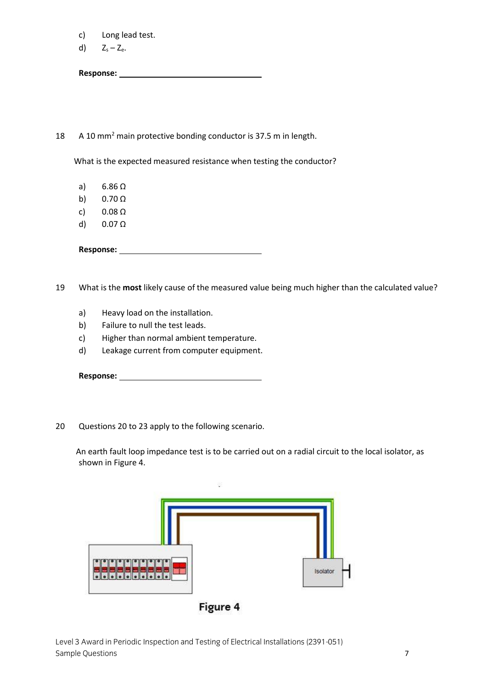- c) Long lead test.
- d)  $Z_s Z_e$ .

## 18 A 10 mm<sup>2</sup> main protective bonding conductor is 37.5 m in length.

What is the expected measured resistance when testing the conductor?

- a) 6.86 Ω
- b) 0.70 Ω
- c) 0.08 Ω
- d) 0.07 Ω

**Response:** 

19 What is the **most** likely cause of the measured value being much higher than the calculated value?

- a) Heavy load on the installation.
- b) Failure to null the test leads.
- c) Higher than normal ambient temperature.
- d) Leakage current from computer equipment.

**Response:** 

20 Questions 20 to 23 apply to the following scenario.

 An earth fault loop impedance test is to be carried out on a radial circuit to the local isolator, as shown in Figure 4.

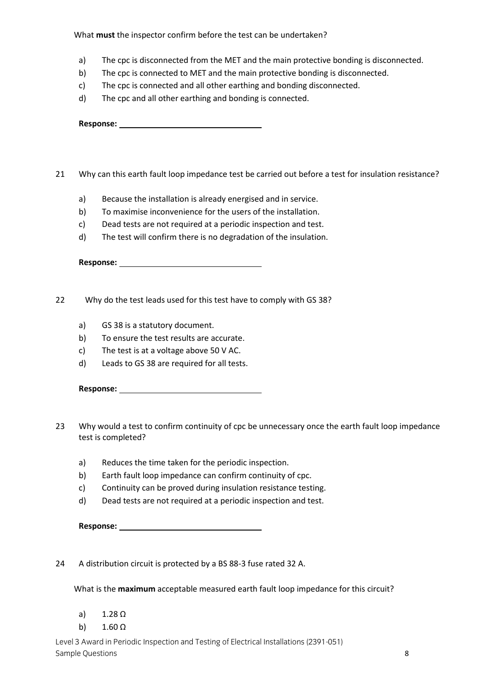What **must** the inspector confirm before the test can be undertaken?

- a) The cpc is disconnected from the MET and the main protective bonding is disconnected.
- b) The cpc is connected to MET and the main protective bonding is disconnected.
- c) The cpc is connected and all other earthing and bonding disconnected.
- d) The cpc and all other earthing and bonding is connected.

**Response:** 

- 21 Why can this earth fault loop impedance test be carried out before a test for insulation resistance?
	- a) Because the installation is already energised and in service.
	- b) To maximise inconvenience for the users of the installation.
	- c) Dead tests are not required at a periodic inspection and test.
	- d) The test will confirm there is no degradation of the insulation.

**Response:** 

- 22 Why do the test leads used for this test have to comply with GS 38?
	- a) GS 38 is a statutory document.
	- b) To ensure the test results are accurate.
	- c) The test is at a voltage above 50 V AC.
	- d) Leads to GS 38 are required for all tests.

| <b>Response:</b> |  |
|------------------|--|
|                  |  |

- 23 Why would a test to confirm continuity of cpc be unnecessary once the earth fault loop impedance test is completed?
	- a) Reduces the time taken for the periodic inspection.
	- b) Earth fault loop impedance can confirm continuity of cpc.
	- c) Continuity can be proved during insulation resistance testing.
	- d) Dead tests are not required at a periodic inspection and test.

| <b>Response:</b> |  |
|------------------|--|
|                  |  |

24 A distribution circuit is protected by a BS 88-3 fuse rated 32 A.

What is the **maximum** acceptable measured earth fault loop impedance for this circuit?

- a) 1.28 Ω
- b)  $1.60 \Omega$

Level 3 Award in Periodic Inspection and Testing of Electrical Installations (2391-051) Sample Questions **8**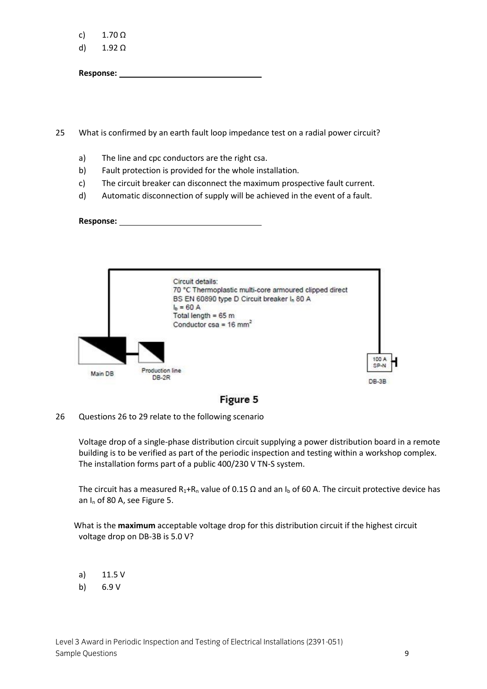c)  $1.70 \Omega$ 

d) 1.92 Ω

**Response:** 

25 What is confirmed by an earth fault loop impedance test on a radial power circuit?

- a) The line and cpc conductors are the right csa.
- b) Fault protection is provided for the whole installation.
- c) The circuit breaker can disconnect the maximum prospective fault current.
- d) Automatic disconnection of supply will be achieved in the event of a fault.

**Response:** 





26 Questions 26 to 29 relate to the following scenario

 Voltage drop of a single-phase distribution circuit supplying a power distribution board in a remote building is to be verified as part of the periodic inspection and testing within a workshop complex. The installation forms part of a public 400/230 V TN-S system.

The circuit has a measured  $R_1 + R_n$  value of 0.15  $\Omega$  and an I<sub>b</sub> of 60 A. The circuit protective device has an I<sup>n</sup> of 80 A, see Figure 5.

 What is the **maximum** acceptable voltage drop for this distribution circuit if the highest circuit voltage drop on DB-3B is 5.0 V?

- a) 11.5 V
- b) 6.9 V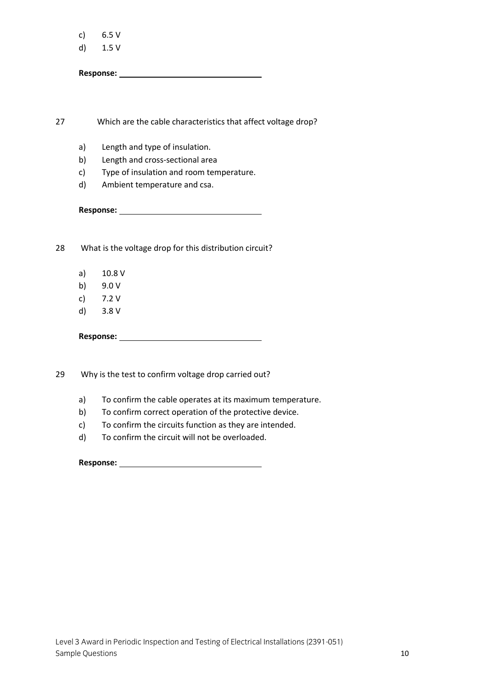| C) | 6.5 V |  |
|----|-------|--|
|    |       |  |

d) 1.5 V

**Response:** 

27 Which are the cable characteristics that affect voltage drop?

- a) Length and type of insulation.
- b) Length and cross-sectional area
- c) Type of insulation and room temperature.
- d) Ambient temperature and csa.

**Response:** 

28 What is the voltage drop for this distribution circuit?

- a) 10.8 V
- b) 9.0 V
- c) 7.2 V
- d) 3.8 V

**Response:** 

29 Why is the test to confirm voltage drop carried out?

- a) To confirm the cable operates at its maximum temperature.
- b) To confirm correct operation of the protective device.
- c) To confirm the circuits function as they are intended.
- d) To confirm the circuit will not be overloaded.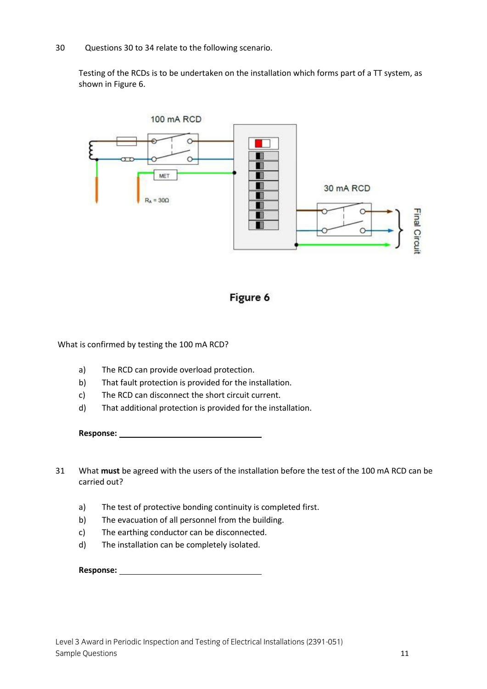30 Questions 30 to 34 relate to the following scenario.

Testing of the RCDs is to be undertaken on the installation which forms part of a TT system, as shown in Figure 6.





What is confirmed by testing the 100 mA RCD?

- a) The RCD can provide overload protection.
- b) That fault protection is provided for the installation.
- c) The RCD can disconnect the short circuit current.
- d) That additional protection is provided for the installation.

- 31 What **must** be agreed with the users of the installation before the test of the 100 mA RCD can be carried out?
	- a) The test of protective bonding continuity is completed first.
	- b) The evacuation of all personnel from the building.
	- c) The earthing conductor can be disconnected.
	- d) The installation can be completely isolated.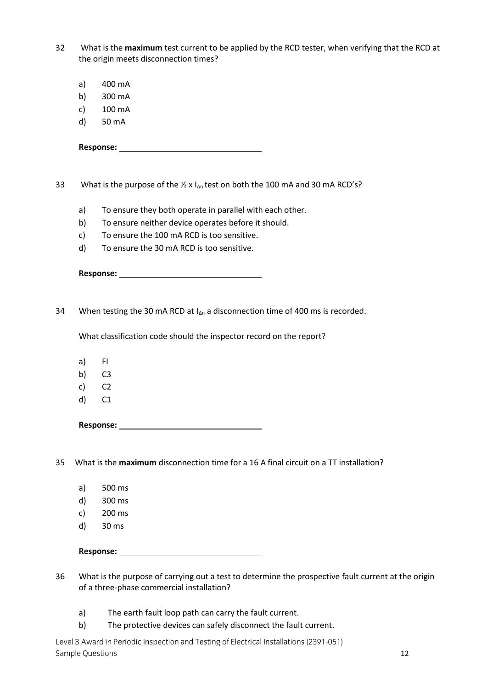32 What is the **maximum** test current to be applied by the RCD tester, when verifying that the RCD at the origin meets disconnection times?

- a) 400 mA
- b) 300 mA
- c) 100 mA
- d) 50 mA

**Response:** 

33 What is the purpose of the  $\frac{1}{2}$  x  $I_{\Delta n}$  test on both the 100 mA and 30 mA RCD's?

- a) To ensure they both operate in parallel with each other.
- b) To ensure neither device operates before it should.
- c) To ensure the 100 mA RCD is too sensitive.
- d) To ensure the 30 mA RCD is too sensitive.

| Response: |
|-----------|
|-----------|

34 When testing the 30 mA RCD at  $I_{\Delta n}$  a disconnection time of 400 ms is recorded.

What classification code should the inspector record on the report?

- a) FI
- b) C3
- c) C2
- d) C1

**Response:** 

35 What is the **maximum** disconnection time for a 16 A final circuit on a TT installation?

- a) 500 ms
- d) 300 ms
- c) 200 ms
- d) 30 ms

- 36 What is the purpose of carrying out a test to determine the prospective fault current at the origin of a three-phase commercial installation?
	- a) The earth fault loop path can carry the fault current.
	- b) The protective devices can safely disconnect the fault current.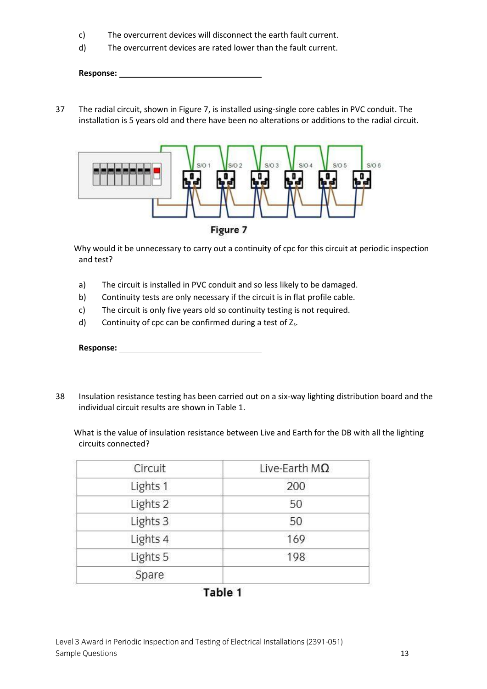- c) The overcurrent devices will disconnect the earth fault current.
- d) The overcurrent devices are rated lower than the fault current.

37 The radial circuit, shown in Figure 7, is installed using-single core cables in PVC conduit. The installation is 5 years old and there have been no alterations or additions to the radial circuit.



 Why would it be unnecessary to carry out a continuity of cpc for this circuit at periodic inspection and test?

- a) The circuit is installed in PVC conduit and so less likely to be damaged.
- b) Continuity tests are only necessary if the circuit is in flat profile cable.
- c) The circuit is only five years old so continuity testing is not required.
- d) Continuity of cpc can be confirmed during a test of  $Z_s$ .

| <b>Response:</b> |  |
|------------------|--|
|                  |  |

38 Insulation resistance testing has been carried out on a six-way lighting distribution board and the individual circuit results are shown in Table 1.

 What is the value of insulation resistance between Live and Earth for the DB with all the lighting circuits connected?

| Circuit  | Live-Earth $M\Omega$ |
|----------|----------------------|
| Lights 1 | 200                  |
| Lights 2 | 50                   |
| Lights 3 | 50                   |
| Lights 4 | 169                  |
| Lights 5 | 198                  |
| Spare    |                      |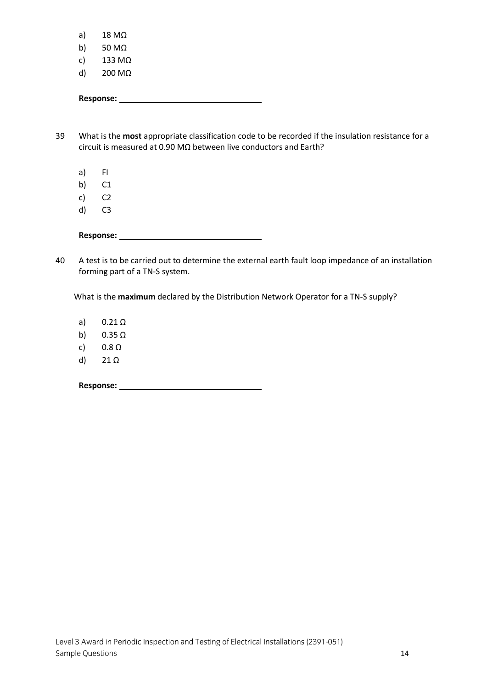- b) 50 MΩ
- c) 133 MΩ
- d) 200 MΩ

39 What is the **most** appropriate classification code to be recorded if the insulation resistance for a circuit is measured at 0.90 MΩ between live conductors and Earth?

- a) FI
- b) C1
- c) C2
- d) C3

40 A test is to be carried out to determine the external earth fault loop impedance of an installation forming part of a TN-S system.

What is the **maximum** declared by the Distribution Network Operator for a TN-S supply?

a) 0.21 Ω

- b)  $0.35 \Omega$
- c) 0.8 Ω
- d) 21 Ω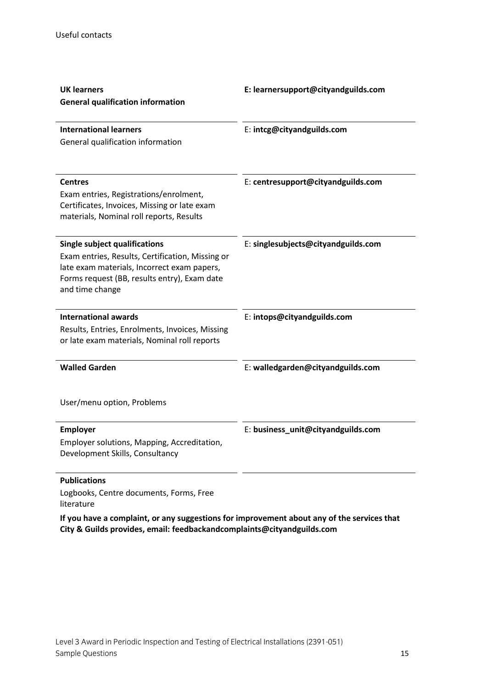| <b>UK learners</b><br><b>General qualification information</b>                                                                                                                                             | E: learnersupport@cityandguilds.com |
|------------------------------------------------------------------------------------------------------------------------------------------------------------------------------------------------------------|-------------------------------------|
| <b>International learners</b><br>General qualification information                                                                                                                                         | E: intcg@cityandguilds.com          |
| <b>Centres</b><br>Exam entries, Registrations/enrolment,<br>Certificates, Invoices, Missing or late exam<br>materials, Nominal roll reports, Results                                                       | E: centresupport@cityandguilds.com  |
| <b>Single subject qualifications</b><br>Exam entries, Results, Certification, Missing or<br>late exam materials, Incorrect exam papers,<br>Forms request (BB, results entry), Exam date<br>and time change | E: singlesubjects@cityandguilds.com |
| <b>International awards</b><br>Results, Entries, Enrolments, Invoices, Missing<br>or late exam materials, Nominal roll reports                                                                             | E: intops@cityandguilds.com         |
| <b>Walled Garden</b>                                                                                                                                                                                       | E: walledgarden@cityandguilds.com   |
| User/menu option, Problems                                                                                                                                                                                 |                                     |
| <b>Employer</b><br>Employer solutions, Mapping, Accreditation,<br>Development Skills, Consultancy                                                                                                          | E: business_unit@cityandguilds.com  |

## **Publications**

Logbooks, Centre documents, Forms, Free literature

**If you have a complaint, or any suggestions for improvement about any of the services that City & Guilds provides, email: feedbackandcomplaints@cityandguilds.com**